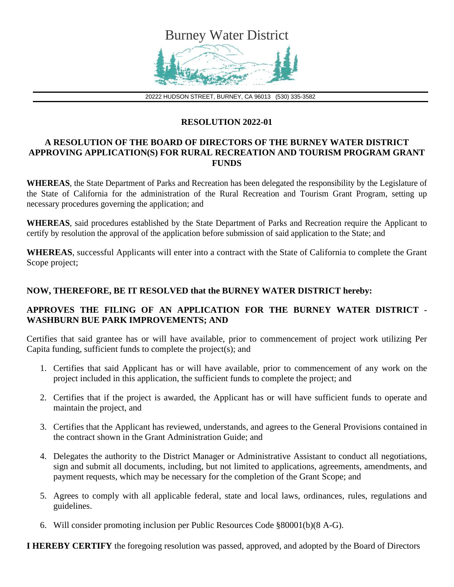

20222 HUDSON STREET, BURNEY, CA 96013 (530) 335-3582

## **RESOLUTION 2022-01**

## **A RESOLUTION OF THE BOARD OF DIRECTORS OF THE BURNEY WATER DISTRICT APPROVING APPLICATION(S) FOR RURAL RECREATION AND TOURISM PROGRAM GRANT FUNDS**

**WHEREAS**, the State Department of Parks and Recreation has been delegated the responsibility by the Legislature of the State of California for the administration of the Rural Recreation and Tourism Grant Program, setting up necessary procedures governing the application; and

**WHEREAS**, said procedures established by the State Department of Parks and Recreation require the Applicant to certify by resolution the approval of the application before submission of said application to the State; and

**WHEREAS**, successful Applicants will enter into a contract with the State of California to complete the Grant Scope project;

## **NOW, THEREFORE, BE IT RESOLVED that the BURNEY WATER DISTRICT hereby:**

## **APPROVES THE FILING OF AN APPLICATION FOR THE BURNEY WATER DISTRICT - WASHBURN BUE PARK IMPROVEMENTS; AND**

Certifies that said grantee has or will have available, prior to commencement of project work utilizing Per Capita funding, sufficient funds to complete the project(s); and

- 1. Certifies that said Applicant has or will have available, prior to commencement of any work on the project included in this application, the sufficient funds to complete the project; and
- 2. Certifies that if the project is awarded, the Applicant has or will have sufficient funds to operate and maintain the project, and
- 3. Certifies that the Applicant has reviewed, understands, and agrees to the General Provisions contained in the contract shown in the Grant Administration Guide; and
- 4. Delegates the authority to the District Manager or Administrative Assistant to conduct all negotiations, sign and submit all documents, including, but not limited to applications, agreements, amendments, and payment requests, which may be necessary for the completion of the Grant Scope; and
- 5. Agrees to comply with all applicable federal, state and local laws, ordinances, rules, regulations and guidelines.
- 6. Will consider promoting inclusion per Public Resources Code §80001(b)(8 A-G).

**I HEREBY CERTIFY** the foregoing resolution was passed, approved, and adopted by the Board of Directors